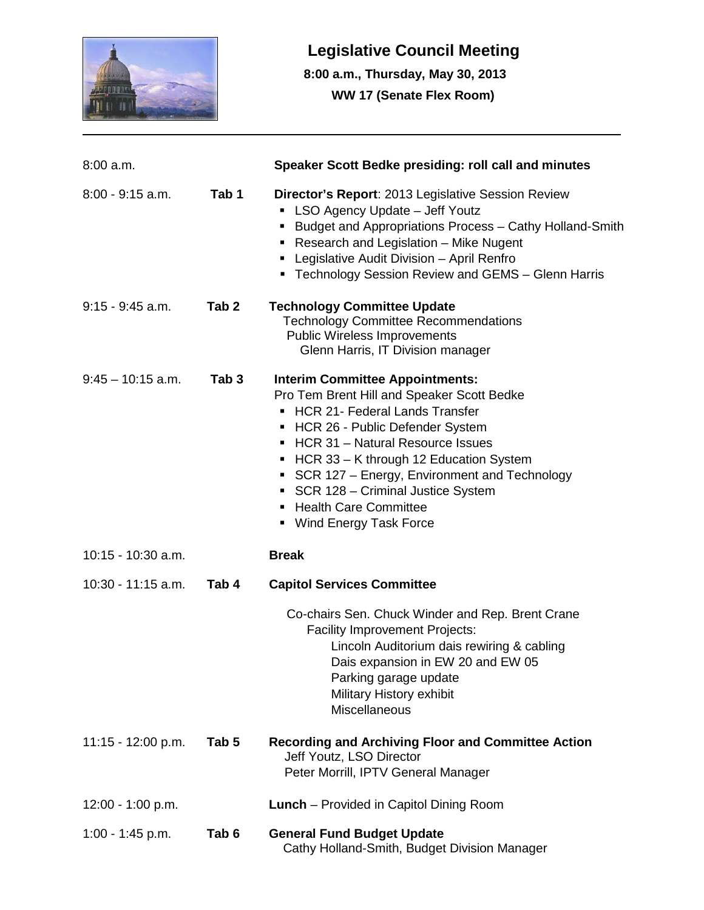

## **Legislative Council Meeting**

 **8:00 a.m., Thursday, May 30, 2013 WW 17 (Senate Flex Room)**

| $8:00$ a.m.          |                  | Speaker Scott Bedke presiding: roll call and minutes                                                                                                                                                                                                                                                                                                                                                                        |
|----------------------|------------------|-----------------------------------------------------------------------------------------------------------------------------------------------------------------------------------------------------------------------------------------------------------------------------------------------------------------------------------------------------------------------------------------------------------------------------|
| $8:00 - 9:15$ a.m.   | Tab 1            | Director's Report: 2013 Legislative Session Review<br>LSO Agency Update - Jeff Youtz<br>Budget and Appropriations Process - Cathy Holland-Smith<br>Research and Legislation - Mike Nugent<br>٠<br>Legislative Audit Division - April Renfro<br>٠<br>• Technology Session Review and GEMS - Glenn Harris                                                                                                                     |
| $9:15 - 9:45$ a.m.   | Tab <sub>2</sub> | <b>Technology Committee Update</b><br><b>Technology Committee Recommendations</b><br><b>Public Wireless Improvements</b><br>Glenn Harris, IT Division manager                                                                                                                                                                                                                                                               |
| $9:45 - 10:15$ a.m.  | Tab <sub>3</sub> | <b>Interim Committee Appointments:</b><br>Pro Tem Brent Hill and Speaker Scott Bedke<br><b>HCR 21- Federal Lands Transfer</b><br>П<br>HCR 26 - Public Defender System<br>٠<br>HCR 31 - Natural Resource Issues<br>HCR 33 - K through 12 Education System<br>٠<br>SCR 127 – Energy, Environment and Technology<br>٠<br>SCR 128 - Criminal Justice System<br>٠<br><b>Health Care Committee</b><br>Wind Energy Task Force<br>٠ |
| 10:15 - 10:30 a.m.   |                  | <b>Break</b>                                                                                                                                                                                                                                                                                                                                                                                                                |
| $10:30 - 11:15$ a.m. | Tab 4            | <b>Capitol Services Committee</b>                                                                                                                                                                                                                                                                                                                                                                                           |
|                      |                  | Co-chairs Sen. Chuck Winder and Rep. Brent Crane<br><b>Facility Improvement Projects:</b><br>Lincoln Auditorium dais rewiring & cabling<br>Dais expansion in EW 20 and EW 05<br>Parking garage update<br>Military History exhibit<br><b>Miscellaneous</b>                                                                                                                                                                   |
| 11:15 - 12:00 p.m.   | Tab <sub>5</sub> | <b>Recording and Archiving Floor and Committee Action</b><br>Jeff Youtz, LSO Director<br>Peter Morrill, IPTV General Manager                                                                                                                                                                                                                                                                                                |
| 12:00 - 1:00 p.m.    |                  | <b>Lunch</b> – Provided in Capitol Dining Room                                                                                                                                                                                                                                                                                                                                                                              |
| 1:00 - 1:45 p.m.     | Tab <sub>6</sub> | <b>General Fund Budget Update</b><br>Cathy Holland-Smith, Budget Division Manager                                                                                                                                                                                                                                                                                                                                           |